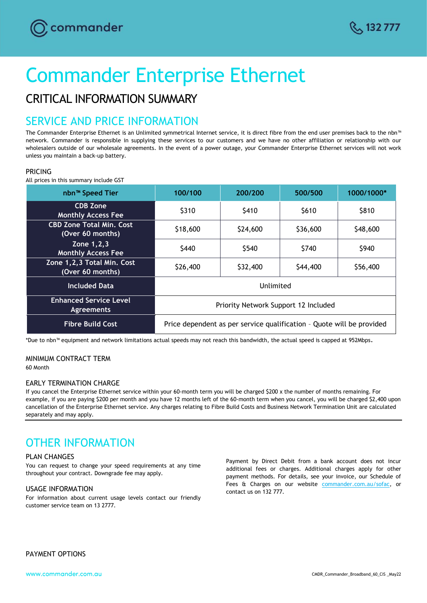

# Commander Enterprise Ethernet

# CRITICAL INFORMATION SUMMARY

## SERVICE AND PRICE INFORMATION

The Commander Enterprise Ethernet is an Unlimited symmetrical Internet service, it is direct fibre from the end user premises back to the nbn™ network. Commander is responsible in supplying these services to our customers and we have no other affiliation or relationship with our wholesalers outside of our wholesale agreements. In the event of a power outage, your Commander Enterprise Ethernet services will not work unless you maintain a back-up battery.

### PRICING

All prices in this summary include GST

| nbn <sup>™</sup> Speed Tier                         | 100/100                                                               | 200/200  | 500/500  | 1000/1000* |
|-----------------------------------------------------|-----------------------------------------------------------------------|----------|----------|------------|
| <b>CDB Zone</b><br><b>Monthly Access Fee</b>        | \$310                                                                 | \$410    | \$610    | \$810      |
| <b>CBD Zone Total Min. Cost</b><br>(Over 60 months) | \$18,600                                                              | \$24,600 | \$36,600 | \$48,600   |
| Zone 1, 2, 3<br><b>Monthly Access Fee</b>           | \$440                                                                 | \$540    | \$740    | \$940      |
| Zone 1,2,3 Total Min. Cost<br>(Over 60 months)      | \$26,400                                                              | \$32,400 | \$44,400 | \$56,400   |
| <b>Included Data</b>                                | Unlimited                                                             |          |          |            |
| <b>Enhanced Service Level</b><br><b>Agreements</b>  | Priority Network Support 12 Included                                  |          |          |            |
| <b>Fibre Build Cost</b>                             | Price dependent as per service qualification - Quote will be provided |          |          |            |

\*Due to nbn™ equipment and network limitations actual speeds may not reach this bandwidth, the actual speed is capped at 952Mbps.

### MINIMUM CONTRACT TERM

60 Month

#### EARLY TERMINATION CHARGE

If you cancel the Enterprise Ethernet service within your 60-month term you will be charged \$200 x the number of months remaining. For example, if you are paying \$200 per month and you have 12 months left of the 60-month term when you cancel, you will be charged \$2,400 upon cancellation of the Enterprise Ethernet service. Any charges relating to Fibre Build Costs and Business Network Termination Unit are calculated separately and may apply.

# OTHER INFORMATION

#### PLAN CHANGES

You can request to change your speed requirements at any time throughout your contract. Downgrade fee may apply.

#### USAGE INFORMATION

For information about current usage levels contact our friendly customer service team on 13 2777.

Payment by Direct Debit from a bank account does not incur additional fees or charges. Additional charges apply for other payment methods. For details, see your invoice, our Schedule of Fees & Charges on our website [commander.com.au/sofac,](file:///C:/Users/corinne.fobert.VOCUS/AppData/Local/Microsoft/Windows/INetCache/Content.Outlook/DTJANF5A/commander.com.au/sofac) or contact us on 132 777.